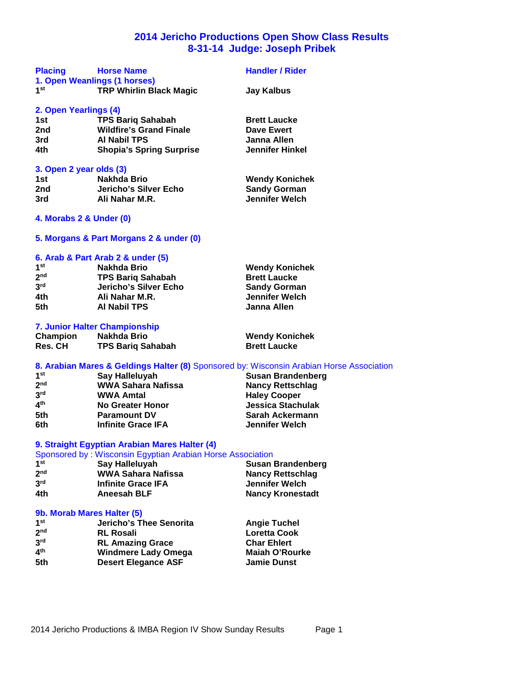## **2014 Jericho Productions Open Show Class Results 8-31-14 Judge: Joseph Pribek**

| <b>Placing</b>          | <b>Horse Name</b>               | <b>Handler / Rider</b> |
|-------------------------|---------------------------------|------------------------|
|                         | 1. Open Weanlings (1 horses)    |                        |
| 1 <sup>st</sup>         | <b>TRP Whirlin Black Magic</b>  | Jay Kalbus             |
| 2. Open Yearlings (4)   |                                 |                        |
| 1st                     | <b>TPS Bariq Sahabah</b>        | <b>Brett Laucke</b>    |
| 2nd                     | <b>Wildfire's Grand Finale</b>  | Dave Ewert             |
| 3rd                     | <b>AI Nabil TPS</b>             | Janna Allen            |
| 4th                     | <b>Shopia's Spring Surprise</b> | <b>Jennifer Hinkel</b> |
| 3. Open 2 year olds (3) |                                 |                        |
| 1st                     | Nakhda Brio                     | <b>Wendy Konichek</b>  |
| 2nd                     | Jericho's Silver Echo           | <b>Sandy Gorman</b>    |
| 3rd                     | Ali Nahar M.R.                  | Jennifer Welch         |
| 4. Morabs 2 & Under (0) |                                 |                        |

## **5. Morgans & Part Morgans 2 & under (0)**

#### **6. Arab & Part Arab 2 & under (5)**

| 1st             | Nakhda Brio              | <b>Wendy Konichek</b> |
|-----------------|--------------------------|-----------------------|
| 2 <sup>nd</sup> | <b>TPS Barig Sahabah</b> | <b>Brett Laucke</b>   |
| 3 <sup>rd</sup> | Jericho's Silver Echo    | <b>Sandy Gorman</b>   |
| 4th             | Ali Nahar M.R.           | Jennifer Welch        |
| 5th             | Al Nabil TPS             | Janna Allen           |
|                 |                          |                       |

## **7. Junior Halter Championship**

| Champion       | Nakhda Brio              |
|----------------|--------------------------|
| <b>Res. CH</b> | <b>TPS Bariq Sahabah</b> |

**Wendy Konichek Brett Laucke** 

#### **8. Arabian Mares & Geldings Halter (8)** Sponsored by: Wisconsin Arabian Horse Association

| 1 <sup>st</sup> | Say Halleluyah            | Susan Brandenberg        |
|-----------------|---------------------------|--------------------------|
| 2 <sub>nd</sub> | <b>WWA Sahara Nafissa</b> | <b>Nancy Rettschlag</b>  |
| 3 <sup>rd</sup> | <b>WWA Amtal</b>          | <b>Haley Cooper</b>      |
| 4 <sup>th</sup> | <b>No Greater Honor</b>   | <b>Jessica Stachulak</b> |
| 5th             | <b>Paramount DV</b>       | Sarah Ackermann          |
| 6th             | <b>Infinite Grace IFA</b> | Jennifer Welch           |

#### **9. Straight Egyptian Arabian Mares Halter (4)**

Sponsored by : Wisconsin Egyptian Arabian Horse Association

| 1 <sup>st</sup> | Say Halleluyah            | Susan Brandenberg       |
|-----------------|---------------------------|-------------------------|
| 2 <sub>nd</sub> | WWA Sahara Nafissa        | Nancy Rettschlag        |
| 3 <sup>rd</sup> | <b>Infinite Grace IFA</b> | Jennifer Welch          |
| 4th             | Aneesah BLF               | <b>Nancy Kronestadt</b> |

## **9b. Morab Mares Halter (5)**

| Jericho's Thee Senorita    | <b>Angie Tuchel</b>   |
|----------------------------|-----------------------|
| <b>RL Rosali</b>           | <b>Loretta Cook</b>   |
| <b>RL Amazing Grace</b>    | <b>Char Ehlert</b>    |
| <b>Windmere Lady Omega</b> | <b>Maiah O'Rourke</b> |
| <b>Desert Elegance ASF</b> | <b>Jamie Dunst</b>    |
|                            |                       |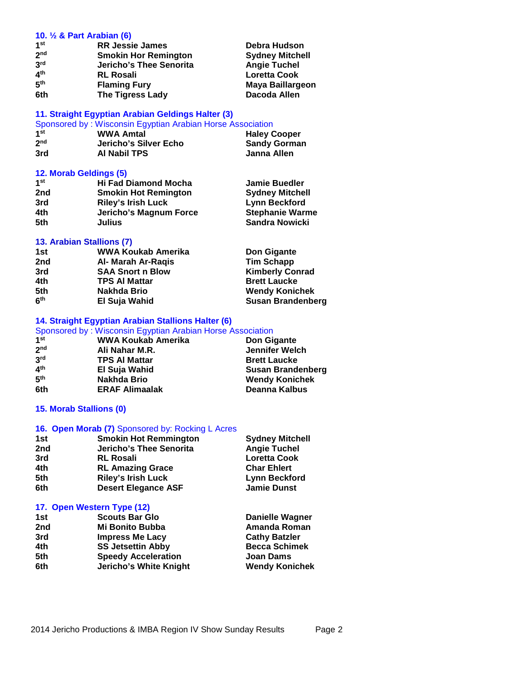#### **10. ½ & Part Arabian (6)**

| 1 <sup>st</sup> | <b>RR Jessie James</b>      | Debra Hudson            |  |
|-----------------|-----------------------------|-------------------------|--|
| 2 <sub>nd</sub> | <b>Smokin Hor Remington</b> | <b>Sydney Mitchell</b>  |  |
| 3 <sup>rd</sup> | Jericho's Thee Senorita     | <b>Angie Tuchel</b>     |  |
| 4 <sup>th</sup> | <b>RL Rosali</b>            | <b>Loretta Cook</b>     |  |
| 5 <sup>th</sup> | <b>Flaming Fury</b>         | <b>Maya Baillargeon</b> |  |
| 6th             | <b>The Tigress Lady</b>     | Dacoda Allen            |  |

## **11. Straight Egyptian Arabian Geldings Halter (3)**

| Sponsored by: Wisconsin Egyptian Arabian Horse Association |                       |                     |
|------------------------------------------------------------|-----------------------|---------------------|
| 1st                                                        | <b>WWA Amtal</b>      | <b>Haley Cooper</b> |
| 2 <sub>nd</sub>                                            | Jericho's Silver Echo | <b>Sandy Gorman</b> |
| 3rd                                                        | <b>AI Nabil TPS</b>   | Janna Allen         |

## **12. Morab Geldings (5)**

| 1 <sup>st</sup> | <b>Hi Fad Diamond Mocha</b> | <b>Jamie Buedler</b>   |  |
|-----------------|-----------------------------|------------------------|--|
| 2nd             | <b>Smokin Hot Remington</b> | <b>Sydney Mitchell</b> |  |
| 3rd             | <b>Riley's Irish Luck</b>   | Lynn Beckford          |  |
| 4th             | Jericho's Magnum Force      | <b>Stephanie Warme</b> |  |
| 5th             | Julius                      | Sandra Nowicki         |  |
|                 |                             |                        |  |

## **13. Arabian Stallions (7)**

| 1st             | WWA Koukab Amerika      | Don Gigante              |
|-----------------|-------------------------|--------------------------|
| 2nd             | Al- Marah Ar-Ragis      | <b>Tim Schapp</b>        |
| 3rd             | <b>SAA Snort n Blow</b> | <b>Kimberly Conrad</b>   |
| 4th             | <b>TPS AI Mattar</b>    | <b>Brett Laucke</b>      |
| 5th             | Nakhda Brio             | <b>Wendy Konichek</b>    |
| 6 <sup>th</sup> | El Suja Wahid           | <b>Susan Brandenberg</b> |

## **14. Straight Egyptian Arabian Stallions Halter (6)**

|                 | Sponsored by: Wisconsin Egyptian Arabian Horse Association |                          |
|-----------------|------------------------------------------------------------|--------------------------|
| 1 <sup>st</sup> | <b>WWA Koukab Amerika</b>                                  | Don Gigante              |
| 2 <sub>nd</sub> | Ali Nahar M.R.                                             | <b>Jennifer Welch</b>    |
| 3 <sup>rd</sup> | <b>TPS AI Mattar</b>                                       | <b>Brett Laucke</b>      |
| 4 <sup>th</sup> | El Suja Wahid                                              | <b>Susan Brandenberg</b> |
| 5 <sup>th</sup> | <b>Nakhda Brio</b>                                         | <b>Wendy Konichek</b>    |
| 6th             | <b>ERAF Alimaalak</b>                                      | Deanna Kalbus            |

## **15. Morab Stallions (0)**

## **16. Open Morab (7)** Sponsored by: Rocking L Acres

| 1st | <b>Smokin Hot Remmington</b> | <b>Sydney Mitchell</b> |
|-----|------------------------------|------------------------|
| 2nd | Jericho's Thee Senorita      | <b>Angie Tuchel</b>    |
| 3rd | <b>RL Rosali</b>             | <b>Loretta Cook</b>    |
| 4th | <b>RL Amazing Grace</b>      | <b>Char Ehlert</b>     |
| 5th | <b>Riley's Irish Luck</b>    | <b>Lynn Beckford</b>   |
| 6th | <b>Desert Elegance ASF</b>   | <b>Jamie Dunst</b>     |

## **17. Open Western Type (12)**

| <b>Scouts Bar Glo</b>      | <b>Danielle Wagner</b> |  |
|----------------------------|------------------------|--|
| <b>Mi Bonito Bubba</b>     | Amanda Roman           |  |
| <b>Impress Me Lacy</b>     | <b>Cathy Batzler</b>   |  |
| <b>SS Jetsettin Abby</b>   | <b>Becca Schimek</b>   |  |
| <b>Speedy Acceleration</b> | <b>Joan Dams</b>       |  |
| Jericho's White Knight     | <b>Wendy Konichek</b>  |  |
|                            |                        |  |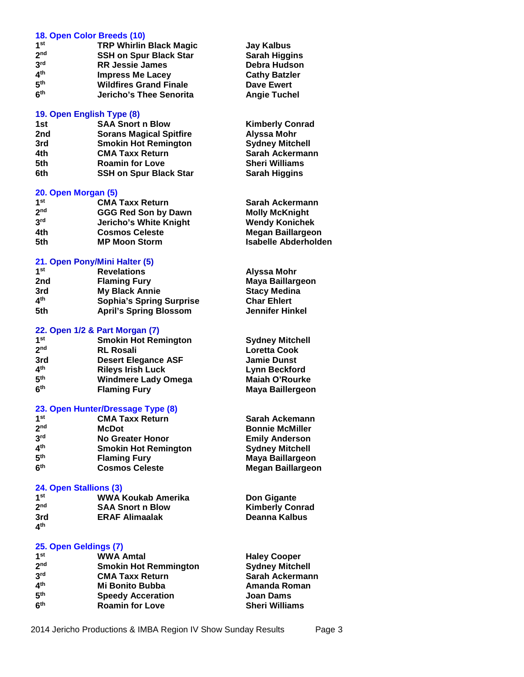#### **18. Open Color Breeds (10)**

| 1st             | <b>TRP Whirlin Black Magic</b> | Jay Kalbus           |
|-----------------|--------------------------------|----------------------|
| 2 <sub>nd</sub> | <b>SSH on Spur Black Star</b>  | <b>Sarah Higgins</b> |
| 3 <sup>rd</sup> | <b>RR Jessie James</b>         | Debra Hudsor         |
| 4 <sup>th</sup> | <b>Impress Me Lacey</b>        | <b>Cathy Batzler</b> |
| 5 <sup>th</sup> | <b>Wildfires Grand Finale</b>  | Dave Ewert           |
| 6 <sup>th</sup> | Jericho's Thee Senorita        | <b>Angie Tuchel</b>  |

## **19. Open English Type (8)**

## **1st SAA Snort n Blow Kimberly Conrad 2nd Sorans Magical Spitfire Alyssa Mohr 3rd Smokin Hot Remington 4th CMA Taxx Return Sarah Ackermann**

**5th Roamin for Love Sheri Williams 6th SSH** on Spur Black Star

## **20. Open Morgan (5)**

| 1 <sub>st</sub> | Sa  |
|-----------------|-----|
| 2 <sub>nd</sub> | Mc  |
| 3rd             | W٥  |
| 4th             | Мc  |
| 5th             | lsa |
|                 |     |

## **21. Open Pony/Mini Halter (5)**

| 1 <sub>st</sub> | <b>Revelations</b>              | Alyssa Mohr         |
|-----------------|---------------------------------|---------------------|
| 2nd             | <b>Flaming Fury</b>             | Maya Baillargeon    |
| 3rd             | <b>My Black Annie</b>           | <b>Stacy Medina</b> |
| 4 <sup>th</sup> | <b>Sophia's Spring Surprise</b> | <b>Char Ehlert</b>  |
| 5th             | <b>April's Spring Blossom</b>   | Jennifer Hinkel     |

## **22. Open 1/2 & Part Morgan (7)**

**1 Smokin Hot Remington Sydney Mitchell 2 nd RL Rosali Loretta Cook 3rd Desert Elegance ASF Jamie Dunst 4 th Rileys Irish Luck Lynn Beckford 5 Windmere Lady Omega<br>Flaming Fury 6**

## **23. Open Hunter/Dressage Type (8)**

| 1 <sub>st</sub> | <b>CMA Taxx Return</b>      |  |
|-----------------|-----------------------------|--|
| 2 <sub>nd</sub> | McDot                       |  |
| 3rd             | No Greater Honor            |  |
| ⊿th             | <b>Smokin Hot Remington</b> |  |
| 5 <sup>th</sup> | <b>Flaming Fury</b>         |  |
| 6 <sup>th</sup> | <b>Cosmos Celeste</b>       |  |

## **24. Open Stallions (3)**

| 1 <sup>st</sup> | WWA Koukab Amerika      | Doi |
|-----------------|-------------------------|-----|
| 2 <sub>nd</sub> | <b>SAA Snort n Blow</b> | Kin |
| 3rd<br>4th      | <b>ERAF Alimaalak</b>   | Dea |

**4 th**

## **25. Open Geldings (7)**

| 1 <sup>st</sup> | <b>WWA Amtal</b>             |
|-----------------|------------------------------|
| 2 <sub>nd</sub> | <b>Smokin Hot Remmington</b> |
| 3rd             | <b>CMA Taxx Return</b>       |
| 4 <sup>th</sup> | Mi Bonito Bubba              |
| 5 <sup>th</sup> | <b>Speedy Acceration</b>     |
| <b>Gth</b>      | <b>Roamin for Love</b>       |

**Jay Kalbus Sarah Higgins Debra Hudson Cathy Batzler Dave Ewert** 

**rah Ackermann nda McKnight** *<u>Bendy Konichek</u>* **4th Cosmos Celeste Megan Baillargeon 5th MP Moon Storm Isabelle Abderholden**

**Maya Baillergeon** 

**Sarah Ackemann Bonnie McMiller Emily Anderson Sydney Mitchell th Flaming Fury Maya Baillargeon Megan Baillargeon** 

**n** Gigante **nberly Conrad 3rd ERAF Alimaalak Deanna Kalbus**

**Haley Cooper Sydney Mitchell Sarah Ackermann Amanda Roman Joan Dams Sheri Williams**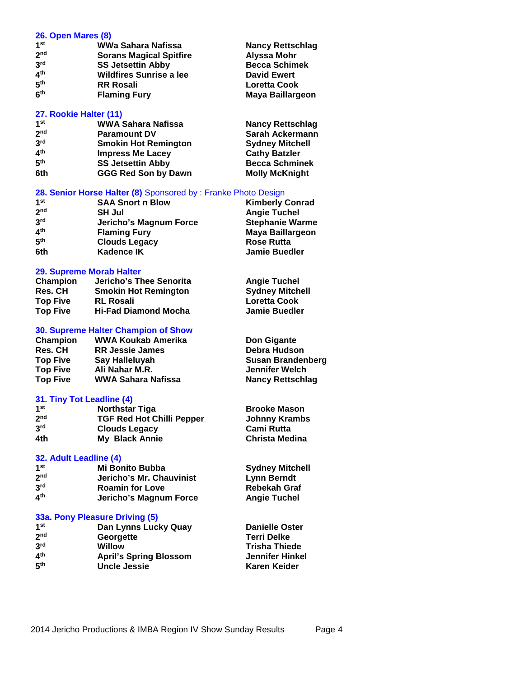| 26. Open Mares (8) |                                |                         |  |
|--------------------|--------------------------------|-------------------------|--|
| 1 <sup>st</sup>    | WWa Sahara Nafissa             | <b>Nancy Rettschlag</b> |  |
| 2 <sub>nd</sub>    | <b>Sorans Magical Spitfire</b> | Alyssa Mohr             |  |
| 3 <sup>rd</sup>    | <b>SS Jetsettin Abby</b>       | <b>Becca Schimek</b>    |  |
| 4 <sup>th</sup>    | <b>Wildfires Sunrise a lee</b> | <b>David Ewert</b>      |  |
| 5 <sup>th</sup>    | <b>RR Rosali</b>               | <b>Loretta Cook</b>     |  |
| 6 <sup>th</sup>    | <b>Flaming Fury</b>            | Maya Baillargeon        |  |
|                    | 27. Rookie Halter (11)         |                         |  |
| 1 <sup>st</sup>    | WWA Sahara Nafissa             | <b>Nancy Rettschlag</b> |  |
| 2 <sub>nd</sub>    | <b>Paramount DV</b>            | Sarah Ackermann         |  |
| 3 <sup>rd</sup>    | <b>Smokin Hot Remington</b>    | <b>Sydney Mitchell</b>  |  |
| 4 <sup>th</sup>    | <b>Impress Me Lacev</b>        | <b>Cathy Batzler</b>    |  |
| 5 <sup>th</sup>    | <b>SS Jetsettin Abby</b>       | <b>Becca Schminek</b>   |  |
| 6th                | <b>GGG Red Son by Dawn</b>     | <b>Molly McKnight</b>   |  |
|                    |                                |                         |  |

#### **28. Senior Horse Halter (8)** Sponsored by : Franke Photo Design

| 1 <sup>st</sup> | <b>SAA Snort n Blow</b> | <b>Kimberly Conrad</b>  |
|-----------------|-------------------------|-------------------------|
| 2 <sub>nd</sub> | <b>SH Jul</b>           | <b>Angie Tuchel</b>     |
| 3 <sup>rd</sup> | Jericho's Magnum Force  | <b>Stephanie Warme</b>  |
| 4 <sup>th</sup> | <b>Flaming Fury</b>     | <b>Maya Baillargeon</b> |
| 5 <sup>th</sup> | <b>Clouds Legacy</b>    | <b>Rose Rutta</b>       |
| 6th             | <b>Kadence IK</b>       | <b>Jamie Buedler</b>    |

#### **29. Supreme Morab Halter**

| Champion        | Jericho's Thee Senorita     | <b>Angie Tuchel</b>    |
|-----------------|-----------------------------|------------------------|
| <b>Res. CH</b>  | <b>Smokin Hot Remington</b> | <b>Sydney Mitchell</b> |
| <b>Top Five</b> | <b>RL Rosali</b>            | <b>Loretta Cook</b>    |
| <b>Top Five</b> | <b>Hi-Fad Diamond Mocha</b> | <b>Jamie Buedler</b>   |

## **30. Supreme Halter Champion of Show**

| Champion        | WWA Koukab Amerika     | Don Gigante             |
|-----------------|------------------------|-------------------------|
| <b>Res. CH</b>  | <b>RR Jessie James</b> | Debra Hudson            |
| <b>Top Five</b> | Say Halleluyah         | Susan Brandenberg       |
| <b>Top Five</b> | Ali Nahar M.R.         | Jennifer Welch          |
| <b>Top Five</b> | WWA Sahara Nafissa     | <b>Nancy Rettschlag</b> |

#### **31. Tiny Tot Leadline (4)**

| 1 <sup>st</sup> | <b>Northstar Tiga</b>            | <b>Brooke Mason</b>   |
|-----------------|----------------------------------|-----------------------|
| 2 <sub>nd</sub> | <b>TGF Red Hot Chilli Pepper</b> | Johnny Krambs         |
| 3 <sup>rd</sup> | <b>Clouds Legacy</b>             | Cami Rutta            |
| 4th             | <b>My Black Annie</b>            | <b>Christa Medina</b> |

#### **32. Adult Leadline (4)**

| 1 <sup>st</sup> | <b>Mi Bonito Bubba</b>   | <b>Sydney Mitchell</b> |
|-----------------|--------------------------|------------------------|
| 2 <sub>nd</sub> | Jericho's Mr. Chauvinist | Lynn Berndt            |
| 3 <sup>rd</sup> | <b>Roamin for Love</b>   | <b>Rebekah Graf</b>    |
| 4 <sup>th</sup> | Jericho's Magnum Force   | <b>Angie Tuchel</b>    |

#### **33a. Pony Pleasure Driving (5)**

| 1 <sup>st</sup> | Dan Lynns Lucky Quay          | <b>Danielle Oster</b> |
|-----------------|-------------------------------|-----------------------|
| 2 <sub>nd</sub> | Georgette                     | <b>Terri Delke</b>    |
| 3 <sup>rd</sup> | Willow                        | <b>Trisha Thiede</b>  |
| 4 <sup>th</sup> | <b>April's Spring Blossom</b> | Jennifer Hinkel       |
| 5 <sup>th</sup> | <b>Uncle Jessie</b>           | Karen Keider          |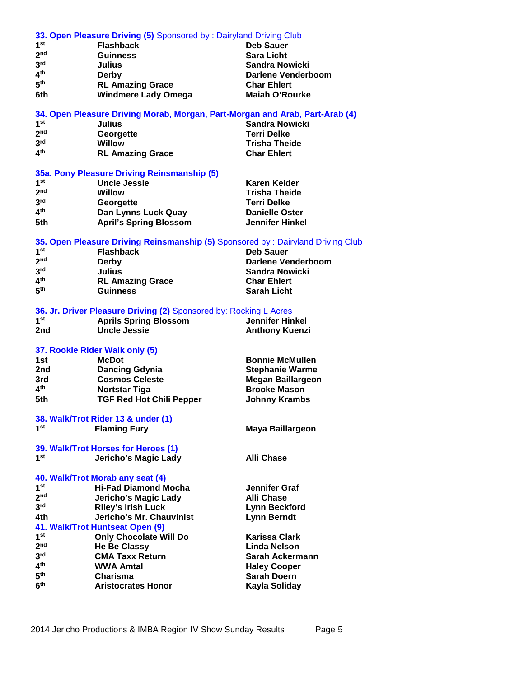|                                    | 33. Open Pleasure Driving (5) Sponsored by: Dairyland Driving Club              |                                             |
|------------------------------------|---------------------------------------------------------------------------------|---------------------------------------------|
| 1 <sup>st</sup>                    | <b>Flashback</b>                                                                | Deb Sauer                                   |
| 2 <sup>nd</sup>                    | <b>Guinness</b>                                                                 | <b>Sara Licht</b>                           |
| 3 <sup>rd</sup>                    | <b>Julius</b>                                                                   | <b>Sandra Nowicki</b>                       |
| 4 <sup>th</sup>                    | <b>Derby</b>                                                                    | <b>Darlene Venderboom</b>                   |
| 5 <sup>th</sup>                    | <b>RL Amazing Grace</b>                                                         | <b>Char Ehlert</b>                          |
| 6th                                | <b>Windmere Lady Omega</b>                                                      | <b>Maiah O'Rourke</b>                       |
|                                    | 34. Open Pleasure Driving Morab, Morgan, Part-Morgan and Arab, Part-Arab (4)    |                                             |
| 1st                                | <b>Julius</b>                                                                   | <b>Sandra Nowicki</b>                       |
| 2 <sub>nd</sub>                    | Georgette                                                                       | <b>Terri Delke</b>                          |
| 3 <sup>rd</sup>                    | <b>Willow</b>                                                                   | <b>Trisha Theide</b>                        |
| 4 <sup>th</sup>                    | <b>RL Amazing Grace</b>                                                         | <b>Char Ehlert</b>                          |
|                                    |                                                                                 |                                             |
|                                    | 35a. Pony Pleasure Driving Reinsmanship (5)                                     |                                             |
| 1 <sup>st</sup>                    | <b>Uncle Jessie</b>                                                             | <b>Karen Keider</b>                         |
| 2 <sub>nd</sub>                    | <b>Willow</b>                                                                   | <b>Trisha Theide</b>                        |
| 3 <sup>rd</sup>                    | Georgette                                                                       | <b>Terri Delke</b>                          |
| 4 <sup>th</sup>                    | Dan Lynns Luck Quay                                                             | <b>Danielle Oster</b>                       |
| 5th                                | <b>April's Spring Blossom</b>                                                   | <b>Jennifer Hinkel</b>                      |
|                                    |                                                                                 |                                             |
|                                    | 35. Open Pleasure Driving Reinsmanship (5) Sponsored by: Dairyland Driving Club |                                             |
| 1 <sup>st</sup>                    | <b>Flashback</b>                                                                | <b>Deb Sauer</b>                            |
| 2 <sub>nd</sub><br>3 <sup>rd</sup> | Derby                                                                           | Darlene Venderboom                          |
| 4 <sup>th</sup>                    | <b>Julius</b>                                                                   | <b>Sandra Nowicki</b><br><b>Char Ehlert</b> |
| 5 <sup>th</sup>                    | <b>RL Amazing Grace</b><br><b>Guinness</b>                                      | <b>Sarah Licht</b>                          |
|                                    |                                                                                 |                                             |
|                                    | 36. Jr. Driver Pleasure Driving (2) Sponsored by: Rocking L Acres               |                                             |
| 1 <sup>st</sup>                    | <b>Aprils Spring Blossom</b>                                                    | <b>Jennifer Hinkel</b>                      |
| 2nd                                | <b>Uncle Jessie</b>                                                             | <b>Anthony Kuenzi</b>                       |
|                                    |                                                                                 |                                             |
|                                    | 37. Rookie Rider Walk only (5)                                                  |                                             |
| 1st                                | <b>McDot</b>                                                                    | <b>Bonnie McMullen</b>                      |
| 2nd                                | <b>Dancing Gdynia</b>                                                           | <b>Stephanie Warme</b>                      |
| 3rd                                | <b>Cosmos Celeste</b>                                                           | <b>Megan Baillargeon</b>                    |
| 4 <sup>th</sup>                    | <b>Nortstar Tiga</b>                                                            | <b>Brooke Mason</b>                         |
| 5th                                | <b>TGF Red Hot Chili Pepper</b>                                                 | <b>Johnny Krambs</b>                        |
|                                    |                                                                                 |                                             |
| 1 <sup>st</sup>                    | 38. Walk/Trot Rider 13 & under (1)<br><b>Flaming Fury</b>                       | <b>Maya Baillargeon</b>                     |
|                                    |                                                                                 |                                             |
|                                    | 39. Walk/Trot Horses for Heroes (1)                                             |                                             |
| 1 <sup>st</sup>                    | <b>Jericho's Magic Lady</b>                                                     | <b>Alli Chase</b>                           |
|                                    |                                                                                 |                                             |
|                                    | 40. Walk/Trot Morab any seat (4)                                                |                                             |
| 1 <sup>st</sup>                    | <b>Hi-Fad Diamond Mocha</b>                                                     | Jennifer Graf                               |
| 2 <sub>nd</sub>                    | <b>Jericho's Magic Lady</b>                                                     | <b>Alli Chase</b>                           |
| 3 <sup>rd</sup>                    | <b>Riley's Irish Luck</b>                                                       | <b>Lynn Beckford</b>                        |
| 4th                                | Jericho's Mr. Chauvinist                                                        | <b>Lynn Berndt</b>                          |
|                                    | 41. Walk/Trot Huntseat Open (9)                                                 |                                             |
| 1 <sup>st</sup>                    | <b>Only Chocolate Will Do</b>                                                   | <b>Karissa Clark</b>                        |
| 2 <sub>nd</sub>                    | <b>He Be Classy</b>                                                             | Linda Nelson                                |
| 3 <sup>rd</sup>                    | <b>CMA Taxx Return</b>                                                          | Sarah Ackermann                             |
| 4 <sup>th</sup>                    | <b>WWA Amtal</b>                                                                | <b>Haley Cooper</b>                         |
| 5 <sup>th</sup>                    | Charisma                                                                        | <b>Sarah Doern</b>                          |
| 6 <sup>th</sup>                    | <b>Aristocrates Honor</b>                                                       | Kayla Soliday                               |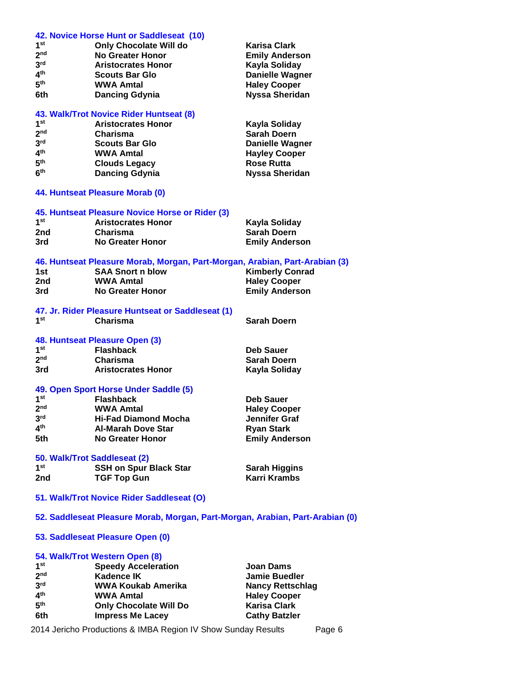| 42. Novice Horse Hunt or Saddleseat (10) |                                                                               |                         |  |
|------------------------------------------|-------------------------------------------------------------------------------|-------------------------|--|
| 1st                                      | <b>Only Chocolate Will do</b>                                                 | <b>Karisa Clark</b>     |  |
| 2 <sub>nd</sub>                          | <b>No Greater Honor</b>                                                       | <b>Emily Anderson</b>   |  |
| 3 <sup>rd</sup>                          | <b>Aristocrates Honor</b>                                                     | Kayla Soliday           |  |
| 4 <sup>th</sup>                          | <b>Scouts Bar Glo</b>                                                         | <b>Danielle Wagner</b>  |  |
| 5 <sup>th</sup>                          | <b>WWA Amtal</b>                                                              | <b>Haley Cooper</b>     |  |
| 6th                                      | <b>Dancing Gdynia</b>                                                         | <b>Nyssa Sheridan</b>   |  |
|                                          |                                                                               |                         |  |
|                                          | 43. Walk/Trot Novice Rider Huntseat (8)                                       |                         |  |
| 1 <sup>st</sup>                          | <b>Aristocrates Honor</b>                                                     | Kayla Soliday           |  |
| 2 <sub>nd</sub>                          | Charisma                                                                      | <b>Sarah Doern</b>      |  |
| 3 <sup>rd</sup>                          | <b>Scouts Bar Glo</b>                                                         | <b>Danielle Wagner</b>  |  |
| 4 <sup>th</sup>                          | <b>WWA Amtal</b>                                                              | <b>Hayley Cooper</b>    |  |
| 5 <sup>th</sup>                          | <b>Clouds Legacy</b>                                                          | <b>Rose Rutta</b>       |  |
| 6 <sup>th</sup>                          | <b>Dancing Gdynia</b>                                                         | <b>Nyssa Sheridan</b>   |  |
|                                          | 44. Huntseat Pleasure Morab (0)                                               |                         |  |
|                                          |                                                                               |                         |  |
|                                          | 45. Huntseat Pleasure Novice Horse or Rider (3)                               |                         |  |
| 1 <sup>st</sup>                          | <b>Aristocrates Honor</b>                                                     | Kayla Soliday           |  |
| 2nd                                      | Charisma                                                                      | <b>Sarah Doern</b>      |  |
| 3rd                                      | <b>No Greater Honor</b>                                                       | <b>Emily Anderson</b>   |  |
|                                          | 46. Huntseat Pleasure Morab, Morgan, Part-Morgan, Arabian, Part-Arabian (3)   |                         |  |
| 1st                                      | <b>SAA Snort n blow</b>                                                       | <b>Kimberly Conrad</b>  |  |
| 2nd                                      | <b>WWA Amtal</b>                                                              | <b>Haley Cooper</b>     |  |
| 3rd                                      | <b>No Greater Honor</b>                                                       | <b>Emily Anderson</b>   |  |
|                                          |                                                                               |                         |  |
|                                          | 47. Jr. Rider Pleasure Huntseat or Saddleseat (1)                             |                         |  |
| 1 <sup>st</sup>                          | Charisma                                                                      | <b>Sarah Doern</b>      |  |
|                                          |                                                                               |                         |  |
|                                          | 48. Huntseat Pleasure Open (3)                                                |                         |  |
| 1 <sup>st</sup>                          | <b>Flashback</b>                                                              | <b>Deb Sauer</b>        |  |
| 2 <sub>nd</sub>                          | Charisma                                                                      | <b>Sarah Doern</b>      |  |
| 3rd                                      | <b>Aristocrates Honor</b>                                                     | Kayla Soliday           |  |
|                                          | 49. Open Sport Horse Under Saddle (5)                                         |                         |  |
| 1 <sup>st</sup>                          | <b>Flashback</b>                                                              | <b>Deb Sauer</b>        |  |
| 2 <sub>nd</sub>                          | <b>WWA Amtal</b>                                                              | <b>Haley Cooper</b>     |  |
| 3 <sup>rd</sup>                          | <b>Hi-Fad Diamond Mocha</b>                                                   | <b>Jennifer Graf</b>    |  |
| 4 <sup>th</sup>                          |                                                                               |                         |  |
|                                          | <b>Al-Marah Dove Star</b>                                                     | <b>Ryan Stark</b>       |  |
| 5th                                      | No Greater Honor                                                              | <b>Emily Anderson</b>   |  |
|                                          | 50. Walk/Trot Saddleseat (2)                                                  |                         |  |
| 1 <sup>st</sup>                          | <b>SSH on Spur Black Star</b>                                                 | <b>Sarah Higgins</b>    |  |
| 2nd                                      | <b>TGF Top Gun</b>                                                            | Karri Krambs            |  |
|                                          | 51. Walk/Trot Novice Rider Saddleseat (O)                                     |                         |  |
|                                          |                                                                               |                         |  |
|                                          | 52. Saddleseat Pleasure Morab, Morgan, Part-Morgan, Arabian, Part-Arabian (0) |                         |  |
|                                          | 53. Saddleseat Pleasure Open (0)                                              |                         |  |
|                                          | 54. Walk/Trot Western Open (8)                                                |                         |  |
| 1 <sup>st</sup>                          | <b>Speedy Acceleration</b>                                                    | <b>Joan Dams</b>        |  |
| 2 <sub>nd</sub>                          | <b>Kadence IK</b>                                                             | <b>Jamie Buedler</b>    |  |
| 3 <sup>rd</sup>                          | <b>WWA Koukab Amerika</b>                                                     | <b>Nancy Rettschlag</b> |  |
| 4 <sup>th</sup>                          | <b>WWA Amtal</b>                                                              | <b>Haley Cooper</b>     |  |
| 5 <sup>th</sup>                          | <b>Only Chocolate Will Do</b>                                                 | <b>Karisa Clark</b>     |  |
| 6th                                      | <b>Impress Me Lacey</b>                                                       | <b>Cathy Batzler</b>    |  |

2014 Jericho Productions & IMBA Region IV Show Sunday Results Page 6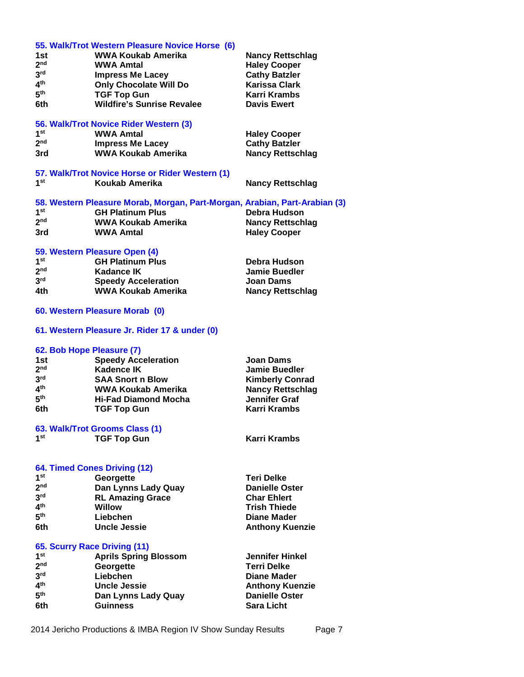|                           | 55. Walk/Trot Western Pleasure Novice Horse (6)                            |                         |
|---------------------------|----------------------------------------------------------------------------|-------------------------|
| 1st                       | <b>WWA Koukab Amerika</b>                                                  | <b>Nancy Rettschlag</b> |
| 2 <sub>nd</sub>           | <b>WWA Amtal</b>                                                           | <b>Haley Cooper</b>     |
| 3 <sup>rd</sup>           | <b>Impress Me Lacey</b>                                                    | <b>Cathy Batzler</b>    |
| 4 <sup>th</sup>           | <b>Only Chocolate Will Do</b>                                              | <b>Karissa Clark</b>    |
| 5 <sup>th</sup>           |                                                                            | Karri Krambs            |
|                           | <b>TGF Top Gun</b>                                                         |                         |
| 6th                       | <b>Wildfire's Sunrise Revalee</b>                                          | <b>Davis Ewert</b>      |
|                           | 56. Walk/Trot Novice Rider Western (3)                                     |                         |
| 1 <sup>st</sup>           | <b>WWA Amtal</b>                                                           | <b>Haley Cooper</b>     |
| 2 <sup>nd</sup>           | <b>Impress Me Lacey</b>                                                    | <b>Cathy Batzler</b>    |
| 3rd                       | <b>WWA Koukab Amerika</b>                                                  | <b>Nancy Rettschlag</b> |
|                           |                                                                            |                         |
| 1 <sup>st</sup>           | 57. Walk/Trot Novice Horse or Rider Western (1)<br>Koukab Amerika          |                         |
|                           |                                                                            | <b>Nancy Rettschlag</b> |
|                           | 58. Western Pleasure Morab, Morgan, Part-Morgan, Arabian, Part-Arabian (3) |                         |
| 1 <sup>st</sup>           | <b>GH Platinum Plus</b>                                                    | Debra Hudson            |
| 2 <sub>nd</sub>           | WWA Koukab Amerika                                                         | <b>Nancy Rettschlag</b> |
| 3rd                       | <b>WWA Amtal</b>                                                           | <b>Haley Cooper</b>     |
|                           |                                                                            |                         |
|                           | 59. Western Pleasure Open (4)                                              |                         |
| 1 <sup>st</sup>           | <b>GH Platinum Plus</b>                                                    | Debra Hudson            |
| 2 <sub>nd</sub>           | <b>Kadance IK</b>                                                          | <b>Jamie Buedler</b>    |
| 3 <sup>rd</sup>           | <b>Speedy Acceleration</b>                                                 | <b>Joan Dams</b>        |
| 4th                       | <b>WWA Koukab Amerika</b>                                                  | <b>Nancy Rettschlag</b> |
|                           |                                                                            |                         |
|                           | 60. Western Pleasure Morab (0)                                             |                         |
|                           | 61. Western Pleasure Jr. Rider 17 & under (0)                              |                         |
| 62. Bob Hope Pleasure (7) |                                                                            |                         |
| 1st                       | <b>Speedy Acceleration</b>                                                 | <b>Joan Dams</b>        |
| 2 <sub>nd</sub>           | <b>Kadence IK</b>                                                          | <b>Jamie Buedler</b>    |
| 3 <sup>rd</sup>           | <b>SAA Snort n Blow</b>                                                    | <b>Kimberly Conrad</b>  |
| 4 <sup>th</sup>           | WWA Koukab Amerika                                                         | <b>Nancy Rettschlag</b> |
| 5 <sup>th</sup>           |                                                                            |                         |
|                           | <b>Hi-Fad Diamond Mocha</b>                                                | <b>Jennifer Graf</b>    |
| 6th                       | <b>TGF Top Gun</b>                                                         | <b>Karri Krambs</b>     |
|                           | 63. Walk/Trot Grooms Class (1)                                             |                         |
| 1st                       | <b>TGF Top Gun</b>                                                         | <b>Karri Krambs</b>     |
|                           |                                                                            |                         |
|                           |                                                                            |                         |
|                           | 64. Timed Cones Driving (12)                                               |                         |
| 1 <sup>st</sup>           | Georgette                                                                  | <b>Teri Delke</b>       |
| 2 <sub>nd</sub>           | Dan Lynns Lady Quay                                                        | <b>Danielle Oster</b>   |
| 3 <sup>rd</sup>           | <b>RL Amazing Grace</b>                                                    | <b>Char Ehlert</b>      |
| 4 <sup>th</sup>           | <b>Willow</b>                                                              | <b>Trish Thiede</b>     |
| 5 <sup>th</sup>           | Liebchen                                                                   | <b>Diane Mader</b>      |
| 6th                       | <b>Uncle Jessie</b>                                                        | <b>Anthony Kuenzie</b>  |
|                           |                                                                            |                         |
|                           | 65. Scurry Race Driving (11)                                               |                         |
| 1 <sup>st</sup>           | <b>Aprils Spring Blossom</b>                                               | <b>Jennifer Hinkel</b>  |
| 2 <sub>nd</sub>           | Georgette                                                                  | <b>Terri Delke</b>      |
| 3 <sup>rd</sup>           | Liebchen                                                                   | <b>Diane Mader</b>      |
| 4 <sup>th</sup>           | <b>Uncle Jessie</b>                                                        | <b>Anthony Kuenzie</b>  |
| 5 <sup>th</sup>           | Dan Lynns Lady Quay                                                        | <b>Danielle Oster</b>   |
| 6th                       | <b>Guinness</b>                                                            | <b>Sara Licht</b>       |

2014 Jericho Productions & IMBA Region IV Show Sunday Results Page 7